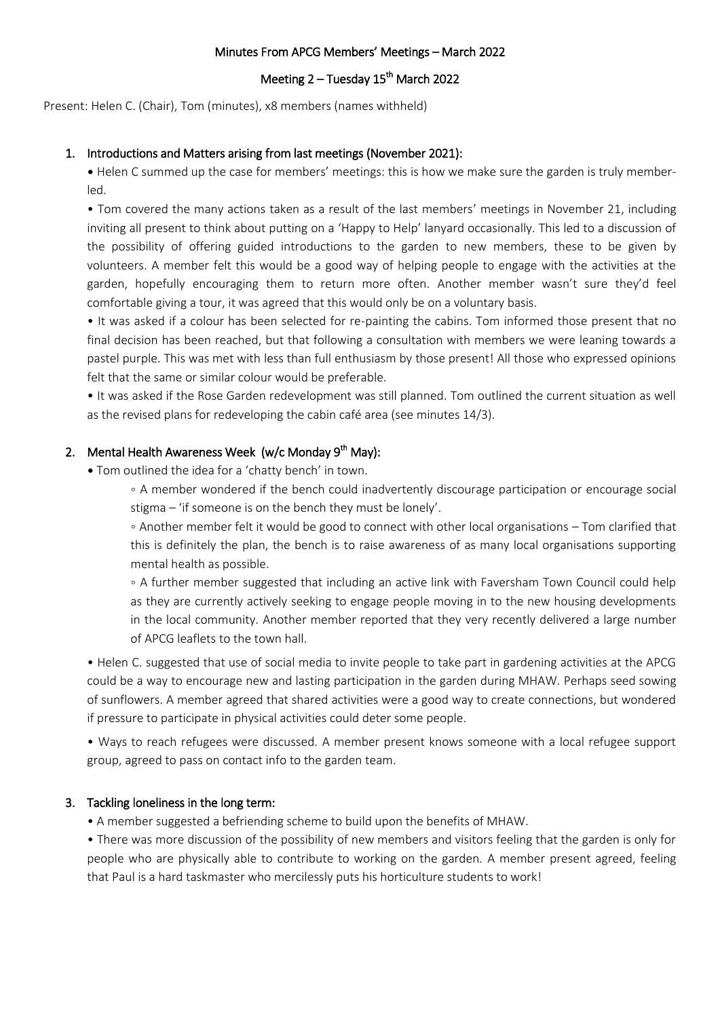#### Minutes From APCG Members' Meetings – March 2022

## Meeting 2 – Tuesday 15<sup>th</sup> March 2022

Present: Helen C. (Chair), Tom (minutes), x8 members (names withheld)

### 1. Introductions and Matters arising from last meetings (November 2021):

• Helen C summed up the case for members' meetings: this is how we make sure the garden is truly memberled.

• Tom covered the many actions taken as a result of the last members' meetings in November 21, including inviting all present to think about putting on a 'Happy to Help' lanyard occasionally. This led to a discussion of the possibility of offering guided introductions to the garden to new members, these to be given by volunteers. A member felt this would be a good way of helping people to engage with the activities at the garden, hopefully encouraging them to return more often. Another member wasn't sure they'd feel comfortable giving a tour, it was agreed that this would only be on a voluntary basis.

• It was asked if a colour has been selected for re-painting the cabins. Tom informed those present that no final decision has been reached, but that following a consultation with members we were leaning towards a pastel purple. This was met with less than full enthusiasm by those present! All those who expressed opinions felt that the same or similar colour would be preferable.

• It was asked if the Rose Garden redevelopment was still planned. Tom outlined the current situation as well as the revised plans for redeveloping the cabin café area (see minutes 14/3).

# 2. Mental Health Awareness Week (w/c Monday 9<sup>th</sup> May):

• Tom outlined the idea for a 'chatty bench' in town.

◦ A member wondered if the bench could inadvertently discourage participation or encourage social stigma – 'if someone is on the bench they must be lonely'.

◦ Another member felt it would be good to connect with other local organisations – Tom clarified that this is definitely the plan, the bench is to raise awareness of as many local organisations supporting mental health as possible.

◦ A further member suggested that including an active link with Faversham Town Council could help as they are currently actively seeking to engage people moving in to the new housing developments in the local community. Another member reported that they very recently delivered a large number of APCG leaflets to the town hall.

• Helen C. suggested that use of social media to invite people to take part in gardening activities at the APCG could be a way to encourage new and lasting participation in the garden during MHAW. Perhaps seed sowing of sunflowers. A member agreed that shared activities were a good way to create connections, but wondered if pressure to participate in physical activities could deter some people.

• Ways to reach refugees were discussed. A member present knows someone with a local refugee support group, agreed to pass on contact info to the garden team.

# 3. Tackling loneliness in the long term:

• A member suggested a befriending scheme to build upon the benefits of MHAW.

• There was more discussion of the possibility of new members and visitors feeling that the garden is only for people who are physically able to contribute to working on the garden. A member present agreed, feeling that Paul is a hard taskmaster who mercilessly puts his horticulture students to work!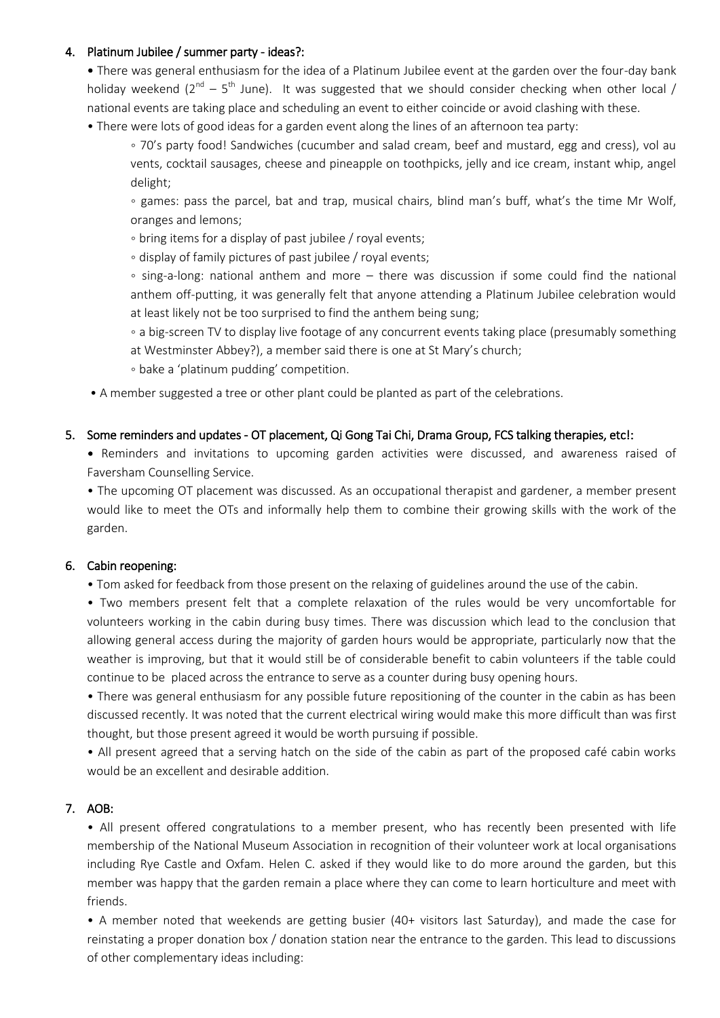# 4. Platinum Jubilee / summer party - ideas?:

• There was general enthusiasm for the idea of a Platinum Jubilee event at the garden over the four-day bank holiday weekend ( $2^{nd}$  –  $5^{th}$  June). It was suggested that we should consider checking when other local / national events are taking place and scheduling an event to either coincide or avoid clashing with these.

• There were lots of good ideas for a garden event along the lines of an afternoon tea party:

◦ 70's party food! Sandwiches (cucumber and salad cream, beef and mustard, egg and cress), vol au vents, cocktail sausages, cheese and pineapple on toothpicks, jelly and ice cream, instant whip, angel delight;

◦ games: pass the parcel, bat and trap, musical chairs, blind man's buff, what's the time Mr Wolf, oranges and lemons;

◦ bring items for a display of past jubilee / royal events;

◦ display of family pictures of past jubilee / royal events;

◦ sing-a-long: national anthem and more – there was discussion if some could find the national anthem off-putting, it was generally felt that anyone attending a Platinum Jubilee celebration would at least likely not be too surprised to find the anthem being sung;

◦ a big-screen TV to display live footage of any concurrent events taking place (presumably something at Westminster Abbey?), a member said there is one at St Mary's church;

◦ bake a 'platinum pudding' competition.

• A member suggested a tree or other plant could be planted as part of the celebrations.

#### 5. Some reminders and updates - OT placement, Qi Gong Tai Chi, Drama Group, FCS talking therapies, etc!:

• Reminders and invitations to upcoming garden activities were discussed, and awareness raised of Faversham Counselling Service.

• The upcoming OT placement was discussed. As an occupational therapist and gardener, a member present would like to meet the OTs and informally help them to combine their growing skills with the work of the garden.

#### 6. Cabin reopening:

• Tom asked for feedback from those present on the relaxing of guidelines around the use of the cabin.

• Two members present felt that a complete relaxation of the rules would be very uncomfortable for volunteers working in the cabin during busy times. There was discussion which lead to the conclusion that allowing general access during the majority of garden hours would be appropriate, particularly now that the weather is improving, but that it would still be of considerable benefit to cabin volunteers if the table could continue to be placed across the entrance to serve as a counter during busy opening hours.

• There was general enthusiasm for any possible future repositioning of the counter in the cabin as has been discussed recently. It was noted that the current electrical wiring would make this more difficult than was first thought, but those present agreed it would be worth pursuing if possible.

• All present agreed that a serving hatch on the side of the cabin as part of the proposed café cabin works would be an excellent and desirable addition.

# 7. AOB:

• All present offered congratulations to a member present, who has recently been presented with life membership of the National Museum Association in recognition of their volunteer work at local organisations including Rye Castle and Oxfam. Helen C. asked if they would like to do more around the garden, but this member was happy that the garden remain a place where they can come to learn horticulture and meet with friends.

• A member noted that weekends are getting busier (40+ visitors last Saturday), and made the case for reinstating a proper donation box / donation station near the entrance to the garden. This lead to discussions of other complementary ideas including: